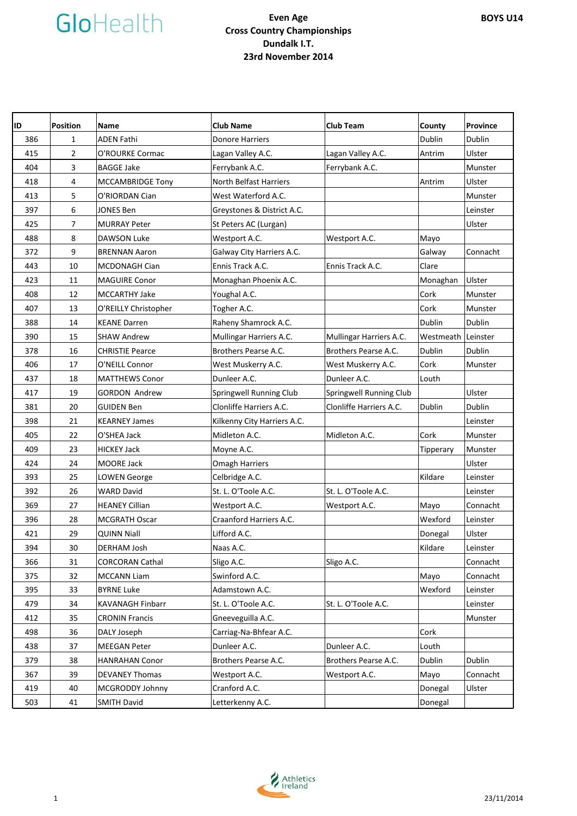| ID  | <b>Position</b> | Name                    | <b>Club Name</b>              | <b>Club Team</b>        | County             | Province |
|-----|-----------------|-------------------------|-------------------------------|-------------------------|--------------------|----------|
| 386 | 1               | ADEN Fathi              | <b>Donore Harriers</b>        |                         | Dublin             | Dublin   |
| 415 | $\overline{2}$  | O'ROURKE Cormac         | Lagan Valley A.C.             | Lagan Valley A.C.       | Antrim             | Ulster   |
| 404 | 3               | <b>BAGGE Jake</b>       | Ferrybank A.C.                | Ferrybank A.C.          |                    | Munster  |
| 418 | 4               | MCCAMBRIDGE Tony        | <b>North Belfast Harriers</b> |                         | Antrim             | Ulster   |
| 413 | 5               | O'RIORDAN Cian          | West Waterford A.C.           |                         |                    | Munster  |
| 397 | 6               | JONES Ben               | Greystones & District A.C.    |                         |                    | Leinster |
| 425 | $\overline{7}$  | <b>MURRAY Peter</b>     | St Peters AC (Lurgan)         |                         |                    | Ulster   |
| 488 | 8               | DAWSON Luke             | Westport A.C.                 | Westport A.C.           | Mayo               |          |
| 372 | 9               | <b>BRENNAN Aaron</b>    | Galway City Harriers A.C.     |                         | Galway             | Connacht |
| 443 | 10              | MCDONAGH Cian           | Ennis Track A.C.              | Ennis Track A.C.        | Clare              |          |
| 423 | 11              | <b>MAGUIRE Conor</b>    | Monaghan Phoenix A.C.         |                         | Monaghan           | Ulster   |
| 408 | 12              | <b>MCCARTHY Jake</b>    | Youghal A.C.                  |                         | Cork               | Munster  |
| 407 | 13              | O'REILLY Christopher    | Togher A.C.                   |                         | Cork               | Munster  |
| 388 | 14              | <b>KEANE Darren</b>     | Raheny Shamrock A.C.          |                         | Dublin             | Dublin   |
| 390 | 15              | <b>SHAW Andrew</b>      | Mullingar Harriers A.C.       | Mullingar Harriers A.C. | Westmeath Leinster |          |
| 378 | 16              | <b>CHRISTIE Pearce</b>  | Brothers Pearse A.C.          | Brothers Pearse A.C.    | Dublin             | Dublin   |
| 406 | 17              | O'NEILL Connor          | West Muskerry A.C.            | West Muskerry A.C.      | Cork               | Munster  |
| 437 | 18              | <b>MATTHEWS Conor</b>   | Dunleer A.C.                  | Dunleer A.C.            | Louth              |          |
| 417 | 19              | <b>GORDON Andrew</b>    | Springwell Running Club       | Springwell Running Club |                    | Ulster   |
| 381 | 20              | <b>GUIDEN Ben</b>       | Clonliffe Harriers A.C.       | Clonliffe Harriers A.C. | Dublin             | Dublin   |
| 398 | 21              | <b>KEARNEY James</b>    | Kilkenny City Harriers A.C.   |                         |                    | Leinster |
| 405 | 22              | O'SHEA Jack             | Midleton A.C.                 | Midleton A.C.           | Cork               | Munster  |
| 409 | 23              | <b>HICKEY Jack</b>      | Moyne A.C.                    |                         | Tipperary          | Munster  |
| 424 | 24              | MOORE Jack              | <b>Omagh Harriers</b>         |                         |                    | Ulster   |
| 393 | 25              | <b>LOWEN George</b>     | Celbridge A.C.                |                         | Kildare            | Leinster |
| 392 | 26              | <b>WARD David</b>       | St. L. O'Toole A.C.           | St. L. O'Toole A.C.     |                    | Leinster |
| 369 | 27              | <b>HEANEY Cillian</b>   | Westport A.C.                 | Westport A.C.           | Mayo               | Connacht |
| 396 | 28              | <b>MCGRATH Oscar</b>    | Craanford Harriers A.C.       |                         | Wexford            | Leinster |
| 421 | 29              | QUINN Niall             | Lifford A.C.                  |                         | Donegal            | Ulster   |
| 394 | 30              | DERHAM Josh             | Naas A.C.                     |                         | Kildare            | Leinster |
| 366 | 31              | <b>CORCORAN Cathal</b>  | Sligo A.C.                    | Sligo A.C.              |                    | Connacht |
| 375 | 32              | <b>MCCANN Liam</b>      | Swinford A.C.                 |                         | Mayo               | Connacht |
| 395 | 33              | <b>BYRNE Luke</b>       | Adamstown A.C.                |                         | Wexford            | Leinster |
| 479 | 34              | <b>KAVANAGH Finbarr</b> | St. L. O'Toole A.C.           | St. L. O'Toole A.C.     |                    | Leinster |
| 412 | 35              | <b>CRONIN Francis</b>   | Gneeveguilla A.C.             |                         |                    | Munster  |
| 498 | 36              | DALY Joseph             | Carriag-Na-Bhfear A.C.        |                         | Cork               |          |
| 438 | 37              | <b>MEEGAN Peter</b>     | Dunleer A.C.                  | Dunleer A.C.            | Louth              |          |
| 379 | 38              | <b>HANRAHAN Conor</b>   | Brothers Pearse A.C.          | Brothers Pearse A.C.    | Dublin             | Dublin   |
| 367 | 39              | <b>DEVANEY Thomas</b>   | Westport A.C.                 | Westport A.C.           | Mayo               | Connacht |
| 419 | 40              | MCGRODDY Johnny         | Cranford A.C.                 |                         | Donegal            | Ulster   |
| 503 | 41              | SMITH David             | Letterkenny A.C.              |                         | Donegal            |          |

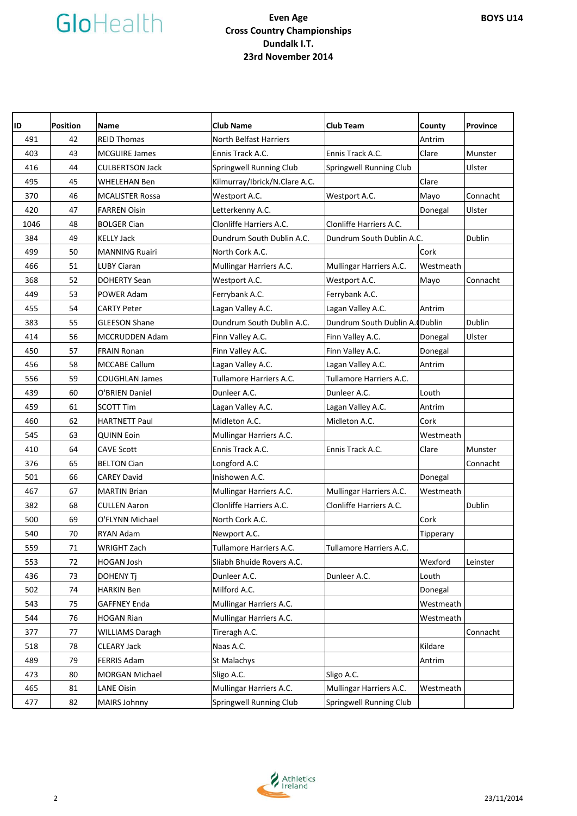| ID   | <b>Position</b> | <b>Name</b>            | <b>Club Name</b>              | <b>Club Team</b>               | County    | Province      |
|------|-----------------|------------------------|-------------------------------|--------------------------------|-----------|---------------|
| 491  | 42              | <b>REID Thomas</b>     | <b>North Belfast Harriers</b> |                                | Antrim    |               |
| 403  | 43              | <b>MCGUIRE James</b>   | Ennis Track A.C.              | Ennis Track A.C.               | Clare     | Munster       |
| 416  | 44              | <b>CULBERTSON Jack</b> | Springwell Running Club       | Springwell Running Club        |           | Ulster        |
| 495  | 45              | WHELEHAN Ben           | Kilmurray/Ibrick/N.Clare A.C. |                                | Clare     |               |
| 370  | 46              | <b>MCALISTER Rossa</b> | Westport A.C.                 | Westport A.C.                  | Mayo      | Connacht      |
| 420  | 47              | <b>FARREN Oisin</b>    | Letterkenny A.C.              |                                | Donegal   | Ulster        |
| 1046 | 48              | <b>BOLGER Cian</b>     | Clonliffe Harriers A.C.       | Clonliffe Harriers A.C.        |           |               |
| 384  | 49              | <b>KELLY Jack</b>      | Dundrum South Dublin A.C.     | Dundrum South Dublin A.C.      |           | <b>Dublin</b> |
| 499  | 50              | <b>MANNING Ruairi</b>  | North Cork A.C.               |                                | Cork      |               |
| 466  | 51              | <b>LUBY Ciaran</b>     | Mullingar Harriers A.C.       | Mullingar Harriers A.C.        | Westmeath |               |
| 368  | 52              | <b>DOHERTY Sean</b>    | Westport A.C.                 | Westport A.C.                  | Mayo      | Connacht      |
| 449  | 53              | POWER Adam             | Ferrybank A.C.                | Ferrybank A.C.                 |           |               |
| 455  | 54              | <b>CARTY Peter</b>     | Lagan Valley A.C.             | Lagan Valley A.C.              | Antrim    |               |
| 383  | 55              | <b>GLEESON Shane</b>   | Dundrum South Dublin A.C.     | Dundrum South Dublin A. Dublin |           | Dublin        |
| 414  | 56              | MCCRUDDEN Adam         | Finn Valley A.C.              | Finn Valley A.C.               | Donegal   | Ulster        |
| 450  | 57              | <b>FRAIN Ronan</b>     | Finn Valley A.C.              | Finn Valley A.C.               | Donegal   |               |
| 456  | 58              | <b>MCCABE Callum</b>   | Lagan Valley A.C.             | Lagan Valley A.C.              | Antrim    |               |
| 556  | 59              | <b>COUGHLAN James</b>  | Tullamore Harriers A.C.       | Tullamore Harriers A.C.        |           |               |
| 439  | 60              | O'BRIEN Daniel         | Dunleer A.C.                  | Dunleer A.C.                   | Louth     |               |
| 459  | 61              | <b>SCOTT Tim</b>       | Lagan Valley A.C.             | Lagan Valley A.C.              | Antrim    |               |
| 460  | 62              | <b>HARTNETT Paul</b>   | Midleton A.C.                 | Midleton A.C.                  | Cork      |               |
| 545  | 63              | <b>QUINN Eoin</b>      | Mullingar Harriers A.C.       |                                | Westmeath |               |
| 410  | 64              | <b>CAVE Scott</b>      | Ennis Track A.C.              | Ennis Track A.C.               | Clare     | Munster       |
| 376  | 65              | <b>BELTON Cian</b>     | Longford A.C                  |                                |           | Connacht      |
| 501  | 66              | <b>CAREY David</b>     | Inishowen A.C.                |                                | Donegal   |               |
| 467  | 67              | <b>MARTIN Brian</b>    | Mullingar Harriers A.C.       | Mullingar Harriers A.C.        | Westmeath |               |
| 382  | 68              | <b>CULLEN Aaron</b>    | Clonliffe Harriers A.C.       | Clonliffe Harriers A.C.        |           | <b>Dublin</b> |
| 500  | 69              | O'FLYNN Michael        | North Cork A.C.               |                                | Cork      |               |
| 540  | 70              | <b>RYAN Adam</b>       | Newport A.C.                  |                                | Tipperary |               |
| 559  | 71              | WRIGHT Zach            | Tullamore Harriers A.C.       | Tullamore Harriers A.C.        |           |               |
| 553  | 72              | <b>HOGAN Josh</b>      | Sliabh Bhuide Rovers A.C.     |                                | Wexford   | Leinster      |
| 436  | 73              | DOHENY Tj              | Dunleer A.C.                  | Dunleer A.C.                   | Louth     |               |
| 502  | 74              | <b>HARKIN Ben</b>      | Milford A.C.                  |                                | Donegal   |               |
| 543  | 75              | <b>GAFFNEY Enda</b>    | Mullingar Harriers A.C.       |                                | Westmeath |               |
| 544  | 76              | <b>HOGAN Rian</b>      | Mullingar Harriers A.C.       |                                | Westmeath |               |
| 377  | 77              | <b>WILLIAMS Daragh</b> | Tireragh A.C.                 |                                |           | Connacht      |
| 518  | 78              | <b>CLEARY Jack</b>     | Naas A.C.                     |                                | Kildare   |               |
| 489  | 79              | <b>FERRIS Adam</b>     | St Malachys                   |                                | Antrim    |               |
| 473  | 80              | MORGAN Michael         | Sligo A.C.                    | Sligo A.C.                     |           |               |
| 465  | 81              | <b>LANE Oisin</b>      | Mullingar Harriers A.C.       | Mullingar Harriers A.C.        | Westmeath |               |
| 477  | 82              | MAIRS Johnny           | Springwell Running Club       | Springwell Running Club        |           |               |

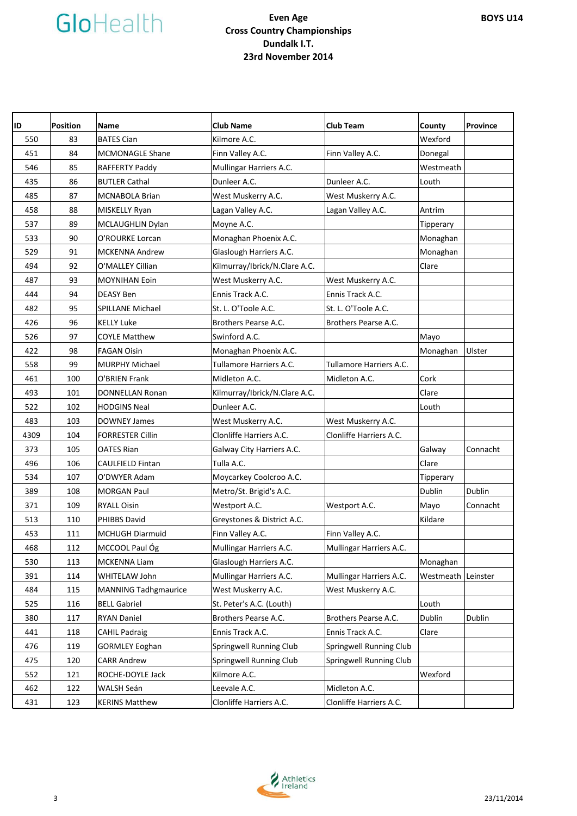| ID   | <b>Position</b> | <b>Name</b>                 | <b>Club Name</b>              | <b>Club Team</b>        | County    | Province |
|------|-----------------|-----------------------------|-------------------------------|-------------------------|-----------|----------|
| 550  | 83              | <b>BATES Cian</b>           | Kilmore A.C.                  |                         | Wexford   |          |
| 451  | 84              | <b>MCMONAGLE Shane</b>      | Finn Valley A.C.              | Finn Valley A.C.        | Donegal   |          |
| 546  | 85              | RAFFERTY Paddy              | Mullingar Harriers A.C.       |                         | Westmeath |          |
| 435  | 86              | <b>BUTLER Cathal</b>        | Dunleer A.C.                  | Dunleer A.C.            | Louth     |          |
| 485  | 87              | <b>MCNABOLA Brian</b>       | West Muskerry A.C.            | West Muskerry A.C.      |           |          |
| 458  | 88              | MISKELLY Ryan               | Lagan Valley A.C.             | Lagan Valley A.C.       | Antrim    |          |
| 537  | 89              | MCLAUGHLIN Dylan            | Moyne A.C.                    |                         | Tipperary |          |
| 533  | 90              | O'ROURKE Lorcan             | Monaghan Phoenix A.C.         |                         | Monaghan  |          |
| 529  | 91              | <b>MCKENNA Andrew</b>       | Glaslough Harriers A.C.       |                         | Monaghan  |          |
| 494  | 92              | O'MALLEY Cillian            | Kilmurray/Ibrick/N.Clare A.C. |                         | Clare     |          |
| 487  | 93              | MOYNIHAN Eoin               | West Muskerry A.C.            | West Muskerry A.C.      |           |          |
| 444  | 94              | <b>DEASY Ben</b>            | Ennis Track A.C.              | Ennis Track A.C.        |           |          |
| 482  | 95              | <b>SPILLANE Michael</b>     | St. L. O'Toole A.C.           | St. L. O'Toole A.C.     |           |          |
| 426  | 96              | <b>KELLY Luke</b>           | Brothers Pearse A.C.          | Brothers Pearse A.C.    |           |          |
| 526  | 97              | <b>COYLE Matthew</b>        | Swinford A.C.                 |                         | Mayo      |          |
| 422  | 98              | <b>FAGAN Oisin</b>          | Monaghan Phoenix A.C.         |                         | Monaghan  | Ulster   |
| 558  | 99              | <b>MURPHY Michael</b>       | Tullamore Harriers A.C.       | Tullamore Harriers A.C. |           |          |
| 461  | 100             | O'BRIEN Frank               | Midleton A.C.                 | Midleton A.C.           | Cork      |          |
| 493  | 101             | <b>DONNELLAN Ronan</b>      | Kilmurray/Ibrick/N.Clare A.C. |                         | Clare     |          |
| 522  | 102             | <b>HODGINS Neal</b>         | Dunleer A.C.                  |                         | Louth     |          |
| 483  | 103             | <b>DOWNEY James</b>         | West Muskerry A.C.            | West Muskerry A.C.      |           |          |
| 4309 | 104             | <b>FORRESTER Cillin</b>     | Clonliffe Harriers A.C.       | Clonliffe Harriers A.C. |           |          |
| 373  | 105             | <b>OATES Rian</b>           | Galway City Harriers A.C.     |                         | Galway    | Connacht |
| 496  | 106             | <b>CAULFIELD Fintan</b>     | Tulla A.C.                    |                         | Clare     |          |
| 534  | 107             | O'DWYER Adam                | Moycarkey Coolcroo A.C.       |                         | Tipperary |          |
| 389  | 108             | <b>MORGAN Paul</b>          | Metro/St. Brigid's A.C.       |                         | Dublin    | Dublin   |
| 371  | 109             | <b>RYALL Oisin</b>          | Westport A.C.                 | Westport A.C.           | Mayo      | Connacht |
| 513  | 110             | <b>PHIBBS David</b>         | Greystones & District A.C.    |                         | Kildare   |          |
| 453  | 111             | <b>MCHUGH Diarmuid</b>      | Finn Valley A.C.              | Finn Valley A.C.        |           |          |
| 468  | 112             | MCCOOL Paul Óg              | Mullingar Harriers A.C.       | Mullingar Harriers A.C. |           |          |
| 530  | 113             | <b>MCKENNA Liam</b>         | Glaslough Harriers A.C.       |                         | Monaghan  |          |
| 391  | 114             | WHITELAW John               | Mullingar Harriers A.C.       | Mullingar Harriers A.C. | Westmeath | Leinster |
| 484  | 115             | <b>MANNING Tadhgmaurice</b> | West Muskerry A.C.            | West Muskerry A.C.      |           |          |
| 525  | 116             | <b>BELL Gabriel</b>         | St. Peter's A.C. (Louth)      |                         | Louth     |          |
| 380  | 117             | RYAN Daniel                 | Brothers Pearse A.C.          | Brothers Pearse A.C.    | Dublin    | Dublin   |
| 441  | 118             | <b>CAHIL Padraig</b>        | Ennis Track A.C.              | Ennis Track A.C.        | Clare     |          |
| 476  | 119             | <b>GORMLEY Eoghan</b>       | Springwell Running Club       | Springwell Running Club |           |          |
| 475  | 120             | <b>CARR Andrew</b>          | Springwell Running Club       | Springwell Running Club |           |          |
| 552  | 121             | ROCHE-DOYLE Jack            | Kilmore A.C.                  |                         | Wexford   |          |
| 462  | 122             | WALSH Seán                  | Leevale A.C.                  | Midleton A.C.           |           |          |
| 431  | 123             | <b>KERINS Matthew</b>       | Clonliffe Harriers A.C.       | Clonliffe Harriers A.C. |           |          |

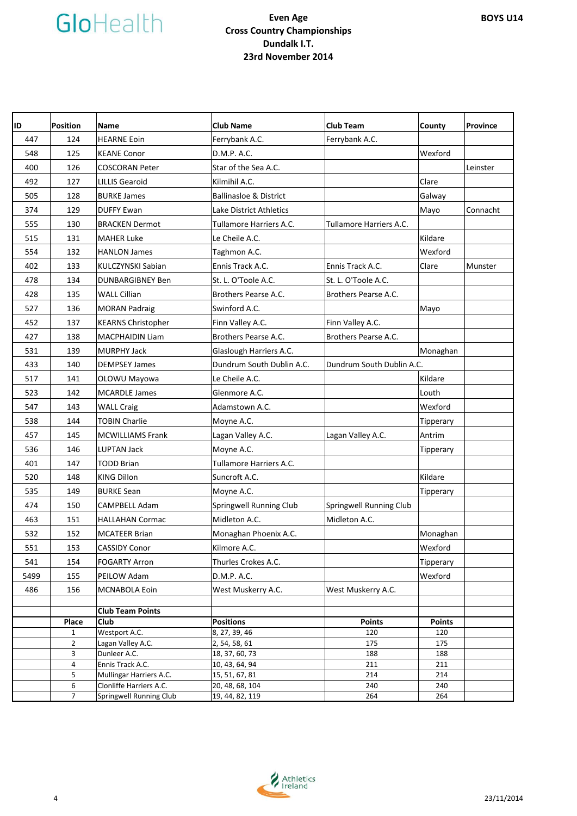

| ID   | <b>Position</b>       | <b>Name</b>               | <b>Club Name</b>                  | <b>Club Team</b>          | County               | Province |
|------|-----------------------|---------------------------|-----------------------------------|---------------------------|----------------------|----------|
| 447  | 124                   | <b>HEARNE Eoin</b>        | Ferrybank A.C.                    | Ferrybank A.C.            |                      |          |
| 548  | 125                   | <b>KEANE Conor</b>        | D.M.P. A.C.                       |                           | Wexford              |          |
| 400  | 126                   | <b>COSCORAN Peter</b>     | Star of the Sea A.C.              |                           |                      | Leinster |
| 492  | 127                   | <b>LILLIS Gearoid</b>     | Kilmihil A.C.                     |                           | Clare                |          |
| 505  | 128                   | <b>BURKE James</b>        | <b>Ballinasloe &amp; District</b> |                           | Galway               |          |
| 374  | 129                   | <b>DUFFY Ewan</b>         | Lake District Athletics           |                           | Mayo                 | Connacht |
| 555  | 130                   | <b>BRACKEN Dermot</b>     | Tullamore Harriers A.C.           | Tullamore Harriers A.C.   |                      |          |
| 515  | 131                   | <b>MAHER Luke</b>         | Le Cheile A.C.                    |                           | Kildare              |          |
| 554  | 132                   | <b>HANLON James</b>       | Taghmon A.C.                      |                           | Wexford              |          |
| 402  | 133                   | KULCZYNSKI Sabian         | Ennis Track A.C.                  | Ennis Track A.C.          | Clare                | Munster  |
| 478  | 134                   | <b>DUNBARGIBNEY Ben</b>   | St. L. O'Toole A.C.               | St. L. O'Toole A.C.       |                      |          |
| 428  | 135                   | <b>WALL Cillian</b>       | Brothers Pearse A.C.              | Brothers Pearse A.C.      |                      |          |
| 527  | 136                   | <b>MORAN Padraig</b>      | Swinford A.C.                     |                           | Mayo                 |          |
| 452  | 137                   | <b>KEARNS Christopher</b> | Finn Valley A.C.                  | Finn Valley A.C.          |                      |          |
| 427  | 138                   | <b>MACPHAIDIN Liam</b>    | Brothers Pearse A.C.              | Brothers Pearse A.C.      |                      |          |
| 531  | 139                   | <b>MURPHY Jack</b>        | Glaslough Harriers A.C.           |                           | Monaghan             |          |
| 433  | 140                   | <b>DEMPSEY James</b>      | Dundrum South Dublin A.C.         | Dundrum South Dublin A.C. |                      |          |
| 517  | 141                   | OLOWU Mayowa              | Le Cheile A.C.                    |                           | Kildare              |          |
| 523  | 142                   | <b>MCARDLE James</b>      | Glenmore A.C.                     |                           | Louth                |          |
| 547  | 143                   | <b>WALL Craig</b>         | Adamstown A.C.                    |                           | Wexford              |          |
| 538  | 144                   | <b>TOBIN Charlie</b>      | Moyne A.C.                        |                           | Tipperary            |          |
| 457  | 145                   | <b>MCWILLIAMS Frank</b>   | Lagan Valley A.C.                 | Lagan Valley A.C.         | Antrim               |          |
| 536  | 146                   | LUPTAN Jack               | Moyne A.C.                        |                           | Tipperary            |          |
| 401  | 147                   | <b>TODD Brian</b>         | Tullamore Harriers A.C.           |                           |                      |          |
| 520  | 148                   | <b>KING Dillon</b>        | Suncroft A.C.                     |                           | Kildare              |          |
| 535  | 149                   | <b>BURKE Sean</b>         | Moyne A.C.                        |                           | Tipperary            |          |
| 474  | 150                   | <b>CAMPBELL Adam</b>      | Springwell Running Club           | Springwell Running Club   |                      |          |
| 463  | 151                   | <b>HALLAHAN Cormac</b>    | Midleton A.C.                     | Midleton A.C.             |                      |          |
| 532  | 152                   | <b>MCATEER Brian</b>      | Monaghan Phoenix A.C.             |                           | Monaghan             |          |
| 551  | 153                   | <b>CASSIDY Conor</b>      | Kilmore A.C.                      |                           | Wexford              |          |
| 541  | 154                   | <b>FOGARTY Arron</b>      | Thurles Crokes A.C.               |                           | Tipperary            |          |
| 5499 | 155                   | PEILOW Adam               | D.M.P. A.C.                       |                           | Wexford              |          |
| 486  | 156                   | MCNABOLA Eoin             | West Muskerry A.C.                | West Muskerry A.C.        |                      |          |
|      |                       |                           |                                   |                           |                      |          |
|      |                       | <b>Club Team Points</b>   |                                   |                           |                      |          |
|      | Place<br>$\mathbf{1}$ | Club<br>Westport A.C.     | <b>Positions</b><br>8, 27, 39, 46 | <b>Points</b><br>120      | <b>Points</b><br>120 |          |
|      | $\overline{2}$        | Lagan Valley A.C.         | 2, 54, 58, 61                     | 175                       | 175                  |          |
|      | 3                     | Dunleer A.C.              | 18, 37, 60, 73                    | 188                       | 188                  |          |
|      | 4                     | Ennis Track A.C.          | 10, 43, 64, 94                    | 211                       | 211                  |          |
|      | 5                     | Mullingar Harriers A.C.   | 15, 51, 67, 81                    | 214                       | 214                  |          |
|      | 6                     | Clonliffe Harriers A.C.   | 20, 48, 68, 104                   | 240                       | 240                  |          |
|      | $\overline{7}$        | Springwell Running Club   | 19, 44, 82, 119                   | 264                       | 264                  |          |